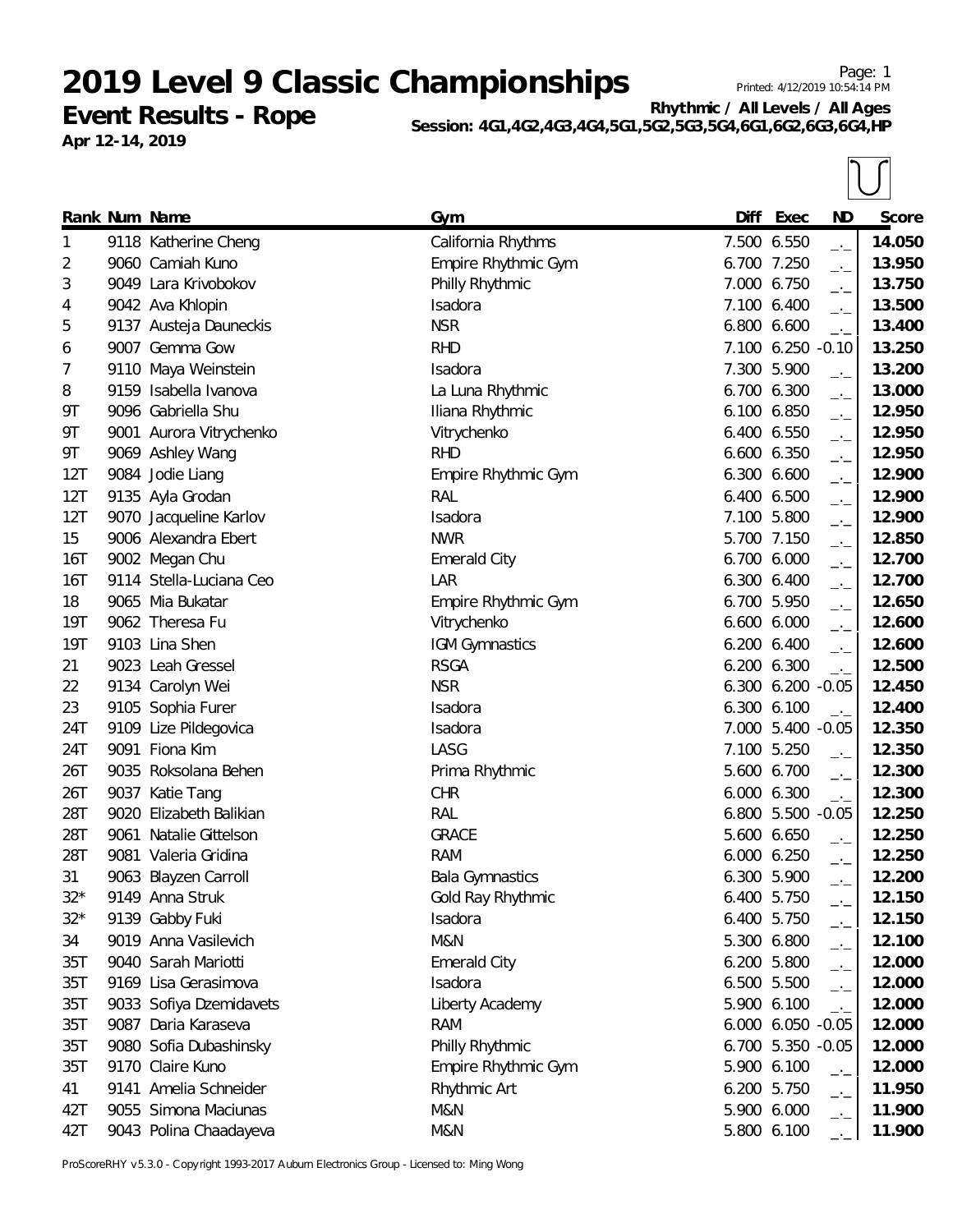**Event Results - Rope Apr 12-14, 2019**

**Rhythmic / All Levels / All Ages Session: 4G1,4G2,4G3,4G4,5G1,5G2,5G3,5G4,6G1,6G2,6G3,6G4,HP**

|            | Rank Num Name           | Gym                    | Diff        | Exec              | <b>ND</b>                   | Score  |
|------------|-------------------------|------------------------|-------------|-------------------|-----------------------------|--------|
| 1          | 9118 Katherine Cheng    | California Rhythms     |             | 7.500 6.550       | $-1$                        | 14.050 |
| 2          | 9060 Camiah Kuno        | Empire Rhythmic Gym    | 6.700 7.250 |                   | $-1$                        | 13.950 |
| 3          | 9049 Lara Krivobokov    | Philly Rhythmic        |             | 7.000 6.750       | $\overline{\phantom{a}}$    | 13.750 |
| 4          | 9042 Ava Khlopin        | Isadora                |             | 7.100 6.400       | $-1$                        | 13.500 |
| 5          | 9137 Austeja Dauneckis  | <b>NSR</b>             | 6.800 6.600 |                   | $-1$                        | 13.400 |
| 6          | 9007 Gemma Gow          | <b>RHD</b>             |             | 7.100 6.250 -0.10 |                             | 13.250 |
| 7          | 9110 Maya Weinstein     | Isadora                |             | 7.300 5.900       | $\overline{\phantom{a}}$    | 13.200 |
| 8          | 9159 Isabella Ivanova   | La Luna Rhythmic       | 6.700 6.300 |                   | $ -$                        | 13.000 |
| 9Τ         | 9096 Gabriella Shu      | Iliana Rhythmic        | 6.100 6.850 |                   | $-1$                        | 12.950 |
| 9Τ         | 9001 Aurora Vitrychenko | Vitrychenko            |             | 6.400 6.550       | $\overline{\phantom{a}}$    | 12.950 |
| 9Τ         | 9069 Ashley Wang        | <b>RHD</b>             |             | 6.600 6.350       | $-1$                        | 12.950 |
| 12T        | 9084 Jodie Liang        | Empire Rhythmic Gym    | 6.300 6.600 |                   | $\rightarrow$ $\rightarrow$ | 12.900 |
| 12T        | 9135 Ayla Grodan        | RAL                    | 6.400 6.500 |                   | $-1$                        | 12.900 |
| 12T        | 9070 Jacqueline Karlov  | Isadora                |             | 7.100 5.800       | $-1$                        | 12.900 |
| 15         | 9006 Alexandra Ebert    | <b>NWR</b>             |             | 5.700 7.150       | $\rightarrow$ $\rightarrow$ | 12.850 |
| 16T        | 9002 Megan Chu          | <b>Emerald City</b>    | 6.700 6.000 |                   | $ -$                        | 12.700 |
| 16T        | 9114 Stella-Luciana Ceo | LAR                    |             | 6.300 6.400       | $-1$                        | 12.700 |
| 18         | 9065 Mia Bukatar        | Empire Rhythmic Gym    |             | 6.700 5.950       | $\overline{\phantom{a}}$    | 12.650 |
| <b>19T</b> | 9062 Theresa Fu         | Vitrychenko            |             | 6.600 6.000       | $-1$                        | 12.600 |
| 19T        | 9103 Lina Shen          | IGM Gymnastics         | 6.200 6.400 |                   | $-1$                        | 12.600 |
| 21         | 9023 Leah Gressel       | <b>RSGA</b>            |             | 6.200 6.300       | $\rightarrow$               | 12.500 |
| 22         | 9134 Carolyn Wei        | <b>NSR</b>             |             | 6.300 6.200 -0.05 |                             | 12.450 |
| 23         | 9105 Sophia Furer       | Isadora                | 6.300 6.100 |                   | $\rightarrow$               | 12.400 |
| 24T        | 9109 Lize Pildegovica   | Isadora                |             | 7.000 5.400 -0.05 |                             | 12.350 |
| 24T        | 9091 Fiona Kim          | LASG                   |             | 7.100 5.250       | $\overline{\phantom{a}}$    | 12.350 |
| 26T        | 9035 Roksolana Behen    | Prima Rhythmic         |             | 5.600 6.700       | $\overline{\phantom{a}}$    | 12.300 |
| 26T        | 9037 Katie Tang         | <b>CHR</b>             | 6.000 6.300 |                   | $-1$                        | 12.300 |
| 28T        | 9020 Elizabeth Balikian | RAL                    |             | 6.800 5.500 -0.05 |                             | 12.250 |
| 28T        | 9061 Natalie Gittelson  | <b>GRACE</b>           |             | 5.600 6.650       | $-1$                        | 12.250 |
| 28T        | 9081 Valeria Gridina    | <b>RAM</b>             |             | 6.000 6.250       | $-1$                        | 12.250 |
| 31         | 9063 Blayzen Carroll    | <b>Bala Gymnastics</b> | 6.300 5.900 |                   | $-1$                        | 12.200 |
| $32*$      | 9149 Anna Struk         | Gold Ray Rhythmic      |             | 6.400 5.750       | —'—                         | 12.150 |
| $32*$      | 9139 Gabby Fuki         | Isadora                |             | 6.400 5.750       | $\overline{\phantom{a}}$    | 12.150 |
| 34         | 9019 Anna Vasilevich    | M&N                    |             | 5.300 6.800       | $-1$                        | 12.100 |
| 35T        | 9040 Sarah Mariotti     | <b>Emerald City</b>    |             | 6.200 5.800       | $-1$                        | 12.000 |
| 35T        | 9169 Lisa Gerasimova    | Isadora                |             | 6.500 5.500       | $ -$                        | 12.000 |
| 35T        | 9033 Sofiya Dzemidavets | Liberty Academy        |             | 5.900 6.100       | $\overline{\phantom{a}}$    | 12.000 |
| 35T        | 9087 Daria Karaseva     | <b>RAM</b>             |             | 6.000 6.050 -0.05 |                             | 12.000 |
| 35T        | 9080 Sofia Dubashinsky  | Philly Rhythmic        |             | 6.700 5.350 -0.05 |                             | 12.000 |
| 35T        | 9170 Claire Kuno        | Empire Rhythmic Gym    |             | 5.900 6.100       | $\rightarrow$ $\rightarrow$ | 12.000 |
| 41         | 9141 Amelia Schneider   | Rhythmic Art           |             | 6.200 5.750       | $-1$                        | 11.950 |
| 42T        | 9055 Simona Maciunas    | M&N                    |             | 5.900 6.000       | $-1$                        | 11.900 |
| 42T        | 9043 Polina Chaadayeva  | M&N                    |             | 5.800 6.100       |                             | 11.900 |

ProScoreRHY v5.3.0 - Copyright 1993-2017 Auburn Electronics Group - Licensed to: Ming Wong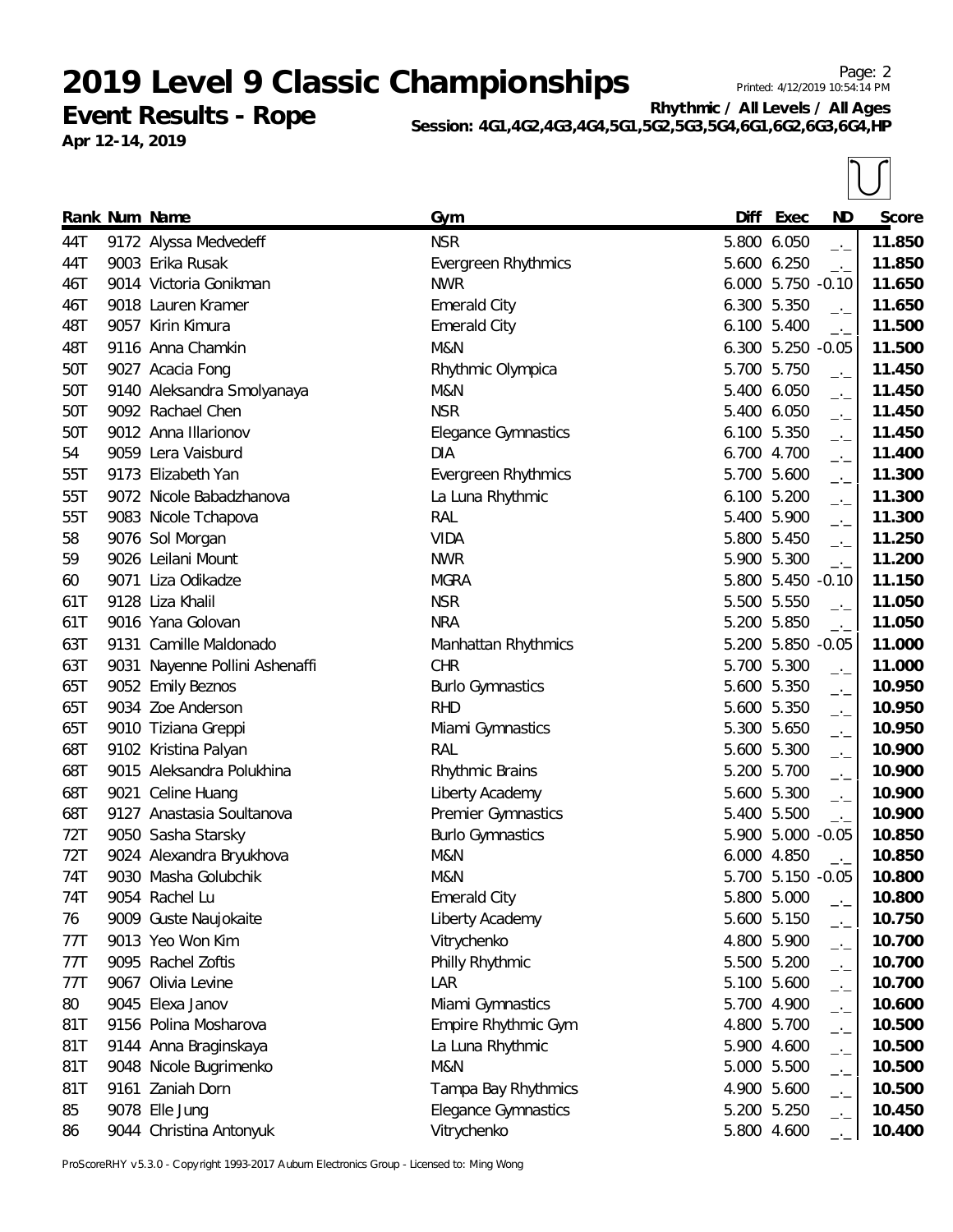**Event Results - Rope Apr 12-14, 2019**

**Rhythmic / All Levels / All Ages Session: 4G1,4G2,4G3,4G4,5G1,5G2,5G3,5G4,6G1,6G2,6G3,6G4,HP**

|     | Rank Num Name                  | Gym                        | Diff  | Exec              | <b>ND</b>                   | Score  |
|-----|--------------------------------|----------------------------|-------|-------------------|-----------------------------|--------|
| 44T | 9172 Alyssa Medvedeff          | <b>NSR</b>                 |       | 5.800 6.050       | $-1$                        | 11.850 |
| 44T | 9003 Erika Rusak               | Evergreen Rhythmics        |       | 5.600 6.250       | $-1$                        | 11.850 |
| 46T | 9014 Victoria Gonikman         | <b>NWR</b>                 |       | 6.000 5.750 -0.10 |                             | 11.650 |
| 46T | 9018 Lauren Kramer             | <b>Emerald City</b>        |       | 6.300 5.350       | $\overline{\phantom{a}}$    | 11.650 |
| 48T | 9057 Kirin Kimura              | <b>Emerald City</b>        |       | 6.100 5.400       | $\rightarrow$               | 11.500 |
| 48T | 9116 Anna Chamkin              | M&N                        |       | 6.300 5.250 -0.05 |                             | 11.500 |
| 50T | 9027 Acacia Fong               | Rhythmic Olympica          |       | 5.700 5.750       | $\overline{\phantom{a}}$    | 11.450 |
| 50T | 9140 Aleksandra Smolyanaya     | M&N                        |       | 5.400 6.050       | $ -$                        | 11.450 |
| 50T | 9092 Rachael Chen              | <b>NSR</b>                 |       | 5.400 6.050       | $-1$                        | 11.450 |
| 50T | 9012 Anna Illarionov           | <b>Elegance Gymnastics</b> |       | 6.100 5.350       | $\overline{\phantom{a}}$    | 11.450 |
| 54  | 9059 Lera Vaisburd             | <b>DIA</b>                 |       | 6.700 4.700       | $-1$                        | 11.400 |
| 55T | 9173 Elizabeth Yan             | Evergreen Rhythmics        |       | 5.700 5.600       | $\rightarrow$ $\rightarrow$ | 11.300 |
| 55T | 9072 Nicole Babadzhanova       | La Luna Rhythmic           |       | 6.100 5.200       | $-1$                        | 11.300 |
| 55T | 9083 Nicole Tchapova           | RAL                        |       | 5.400 5.900       | $\overline{\phantom{a}}$    | 11.300 |
| 58  | 9076 Sol Morgan                | <b>VIDA</b>                |       | 5.800 5.450       | $\overline{\phantom{a}}$    | 11.250 |
| 59  | 9026 Leilani Mount             | <b>NWR</b>                 |       | 5.900 5.300       | $-1$                        | 11.200 |
| 60  | 9071 Liza Odikadze             | <b>MGRA</b>                |       | 5.800 5.450 -0.10 |                             | 11.150 |
| 61T | 9128 Liza Khalil               | <b>NSR</b>                 |       | 5.500 5.550       | $\rightarrow$               | 11.050 |
| 61T | 9016 Yana Golovan              | <b>NRA</b>                 |       | 5.200 5.850       | $\rightarrow$               | 11.050 |
| 63T | 9131 Camille Maldonado         | Manhattan Rhythmics        |       | 5.200 5.850 -0.05 |                             | 11.000 |
| 63T | 9031 Nayenne Pollini Ashenaffi | <b>CHR</b>                 |       | 5.700 5.300       | $-1$                        | 11.000 |
| 65T | 9052 Emily Beznos              | <b>Burlo Gymnastics</b>    |       | 5.600 5.350       | $-1$                        | 10.950 |
| 65T | 9034 Zoe Anderson              | <b>RHD</b>                 |       | 5.600 5.350       | $-1$                        | 10.950 |
| 65T | 9010 Tiziana Greppi            | Miami Gymnastics           |       | 5.300 5.650       | $-1$                        | 10.950 |
| 68T | 9102 Kristina Palyan           | RAL                        | 5.600 | 5.300             | $-1$                        | 10.900 |
| 68T | 9015 Aleksandra Polukhina      | Rhythmic Brains            |       | 5.200 5.700       | $\overline{\phantom{a}}$    | 10.900 |
| 68T | 9021 Celine Huang              | Liberty Academy            |       | 5.600 5.300       | $-1$                        | 10.900 |
| 68T | 9127 Anastasia Soultanova      | Premier Gymnastics         |       | 5.400 5.500       | $-1$                        | 10.900 |
| 72T | 9050 Sasha Starsky             | <b>Burlo Gymnastics</b>    |       | 5.900 5.000 -0.05 |                             | 10.850 |
| 72T | 9024 Alexandra Bryukhova       | M&N                        |       | 6.000 4.850       | $-1$                        | 10.850 |
| 74T | 9030 Masha Golubchik           | <b>M&amp;N</b>             |       | 5.700 5.150 -0.05 |                             | 10.800 |
| 74T | 9054 Rachel Lu                 | <b>Emerald City</b>        |       | 5.800 5.000       | — <sup>.</sup> —            | 10.800 |
| 76  | 9009 Guste Naujokaite          | Liberty Academy            |       | 5.600 5.150       | $\overline{\phantom{a}}$    | 10.750 |
| 77T | 9013 Yeo Won Kim               | Vitrychenko                |       | 4.800 5.900       | $-1$                        | 10.700 |
| 77T | 9095 Rachel Zoftis             | Philly Rhythmic            |       | 5.500 5.200       | $-1$                        | 10.700 |
| 77T | 9067 Olivia Levine             | LAR                        |       | 5.100 5.600       | $-1$                        | 10.700 |
| 80  | 9045 Elexa Janov               | Miami Gymnastics           |       | 5.700 4.900       | $-1$                        | 10.600 |
| 81T | 9156 Polina Mosharova          | Empire Rhythmic Gym        |       | 4.800 5.700       | $-1$                        | 10.500 |
| 81T | 9144 Anna Braginskaya          | La Luna Rhythmic           |       | 5.900 4.600       | $-1$                        | 10.500 |
| 81T | 9048 Nicole Bugrimenko         | M&N                        |       | 5.000 5.500       | $-1$                        | 10.500 |
| 81T | 9161 Zaniah Dorn               | Tampa Bay Rhythmics        |       | 4.900 5.600       | $-1$                        | 10.500 |
| 85  | 9078 Elle Jung                 | Elegance Gymnastics        |       | 5.200 5.250       | $-1$                        | 10.450 |
| 86  | 9044 Christina Antonyuk        | Vitrychenko                |       | 5.800 4.600       |                             | 10.400 |

ProScoreRHY v5.3.0 - Copyright 1993-2017 Auburn Electronics Group - Licensed to: Ming Wong

## Page: 2 Printed: 4/12/2019 10:54:14 PM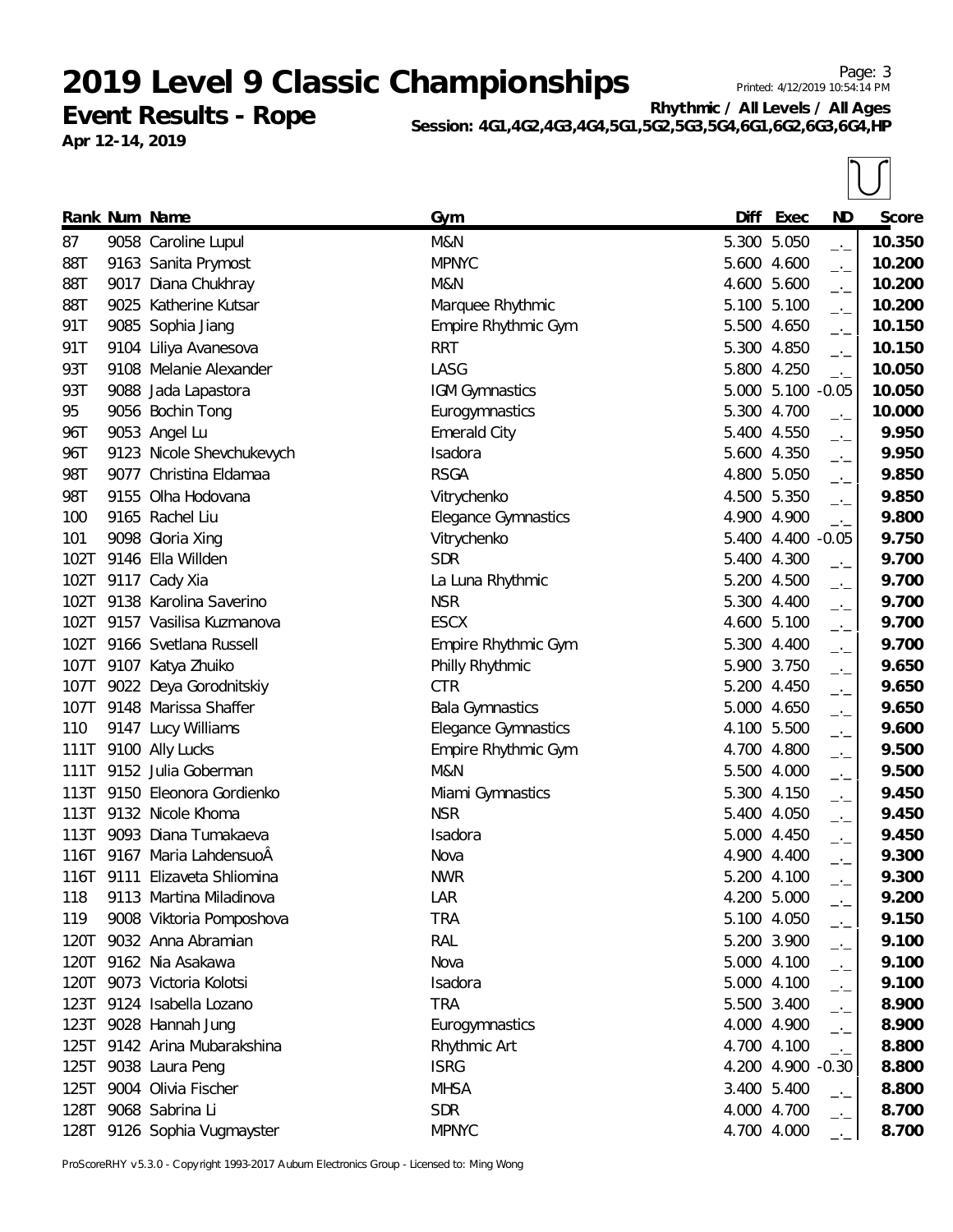**Event Results - Rope Apr 12-14, 2019**

**Rhythmic / All Levels / All Ages** Session: 4G1,4G2,4G3,4G4,5G1,5G2,5G3,5G4,6G1,6G2,

| 10 / 11111900 |  |  |  |
|---------------|--|--|--|
| ,6G3,6G4,HP   |  |  |  |
|               |  |  |  |

|      | Rank Num Name                | Gym                        | Diff  | Exec              | <b>ND</b>                   | Score  |
|------|------------------------------|----------------------------|-------|-------------------|-----------------------------|--------|
| 87   | 9058 Caroline Lupul          | M&N                        |       | 5.300 5.050       | $\overline{\phantom{a}}$    | 10.350 |
| 88T  | 9163 Sanita Prymost          | <b>MPNYC</b>               |       | 5.600 4.600       | $-1$                        | 10.200 |
| 88T  | 9017 Diana Chukhray          | M&N                        |       | 4.600 5.600       | $\overline{\phantom{a}}$    | 10.200 |
| 88T  | 9025 Katherine Kutsar        | Marquee Rhythmic           |       | 5.100 5.100       | $ -$                        | 10.200 |
| 91T  | 9085 Sophia Jiang            | Empire Rhythmic Gym        |       | 5.500 4.650       | $\overline{\phantom{a}}$    | 10.150 |
| 91T  | 9104 Liliya Avanesova        | <b>RRT</b>                 |       | 5.300 4.850       | $\overline{\phantom{a}}$    | 10.150 |
| 93T  | 9108 Melanie Alexander       | LASG                       |       | 5.800 4.250       | $\rightarrow$ $\rightarrow$ | 10.050 |
| 93T  | 9088 Jada Lapastora          | <b>IGM Gymnastics</b>      |       | 5.000 5.100 -0.05 |                             | 10.050 |
| 95   | 9056 Bochin Tong             | Eurogymnastics             |       | 5.300 4.700       | $-1$                        | 10.000 |
| 96T  | 9053 Angel Lu                | <b>Emerald City</b>        |       | 5.400 4.550       | $-$ ' $-$                   | 9.950  |
| 96T  | 9123 Nicole Shevchukevych    | Isadora                    |       | 5.600 4.350       | $-$ ' $-$                   | 9.950  |
| 98T  | 9077 Christina Eldamaa       | <b>RSGA</b>                |       | 4.800 5.050       | $-1$                        | 9.850  |
| 98T  | 9155 Olha Hodovana           | Vitrychenko                |       | 4.500 5.350       | $ -$                        | 9.850  |
| 100  | 9165 Rachel Liu              | Elegance Gymnastics        |       | 4.900 4.900       | $-1$                        | 9.800  |
| 101  | 9098 Gloria Xing             | Vitrychenko                |       | 5.400 4.400 -0.05 |                             | 9.750  |
| 102T | 9146 Ella Willden            | <b>SDR</b>                 | 5.400 | 4.300             | $-1$                        | 9.700  |
| 102T | 9117 Cady Xia                | La Luna Rhythmic           |       | 5.200 4.500       | $ -$                        | 9.700  |
| 102T | 9138 Karolina Saverino       | <b>NSR</b>                 |       | 5.300 4.400       | $-1$                        | 9.700  |
| 102T | 9157 Vasilisa Kuzmanova      | <b>ESCX</b>                |       | 4.600 5.100       | $-1$                        | 9.700  |
| 102T | 9166 Svetlana Russell        | Empire Rhythmic Gym        |       | 5.300 4.400       | $ -$                        | 9.700  |
|      | 107T 9107 Katya Zhuiko       | Philly Rhythmic            |       | 5.900 3.750       | $-$ ' $-$                   | 9.650  |
| 107T | 9022 Deya Gorodnitskiy       | <b>CTR</b>                 |       | 5.200 4.450       | $-$ ' $-$                   | 9.650  |
|      | 107T 9148 Marissa Shaffer    | <b>Bala Gymnastics</b>     |       | 5.000 4.650       | $ -$                        | 9.650  |
| 110  | 9147 Lucy Williams           | <b>Elegance Gymnastics</b> |       | 4.100 5.500       | $ -$                        | 9.600  |
| 111T | 9100 Ally Lucks              | Empire Rhythmic Gym        |       | 4.700 4.800       | $ -$                        | 9.500  |
| 111T | 9152 Julia Goberman          | M&N                        |       | 5.500 4.000       | $-1$                        | 9.500  |
| 113T | 9150 Eleonora Gordienko      | Miami Gymnastics           |       | 5.300 4.150       | —'—                         | 9.450  |
| 113T | 9132 Nicole Khoma            | <b>NSR</b>                 |       | 5.400 4.050       | $ -$                        | 9.450  |
| 113T | 9093 Diana Tumakaeva         | Isadora                    |       | 5.000 4.450       | $-1$                        | 9.450  |
| 116T | 9167 Maria LahdensuoÂ        | Nova                       |       | 4.900 4.400       | $ -$                        | 9.300  |
| 116T | 9111 Elizaveta Shliomina     | <b>NWR</b>                 |       | 5.200 4.100       | $-1$                        | 9.300  |
| 118  | 9113 Martina Miladinova      | LAR                        |       | 4.200 5.000       |                             | 9.200  |
| 119  | 9008 Viktoria Pomposhova     | <b>TRA</b>                 |       | 5.100 4.050       | $-1$                        | 9.150  |
|      | 120T 9032 Anna Abramian      | <b>RAL</b>                 |       | 5.200 3.900       | $ -$                        | 9.100  |
|      | 120T 9162 Nia Asakawa        | Nova                       |       | 5.000 4.100       | $ -$                        | 9.100  |
| 120T | 9073 Victoria Kolotsi        | Isadora                    |       | 5.000 4.100       | $-1$                        | 9.100  |
| 123T | 9124 Isabella Lozano         | <b>TRA</b>                 |       | 5.500 3.400       | $ -$                        | 8.900  |
|      | 123T 9028 Hannah Jung        | Eurogymnastics             |       | 4.000 4.900       | $-1$                        | 8.900  |
|      | 125T 9142 Arina Mubarakshina | Rhythmic Art               |       | 4.700 4.100       | $-1$                        | 8.800  |
|      | 125T 9038 Laura Peng         | <b>ISRG</b>                |       | 4.200 4.900 -0.30 |                             | 8.800  |
| 125T | 9004 Olivia Fischer          | <b>MHSA</b>                |       | 3.400 5.400       | $-1$                        | 8.800  |
| 128T | 9068 Sabrina Li              | <b>SDR</b>                 |       | 4.000 4.700       | — <sup>.</sup> —            | 8.700  |
|      | 128T 9126 Sophia Vugmayster  | <b>MPNYC</b>               |       | 4.700 4.000       | $-1$                        | 8.700  |

ProScoreRHY v5.3.0 - Copyright 1993-2017 Auburn Electronics Group - Licensed to: Ming Wong